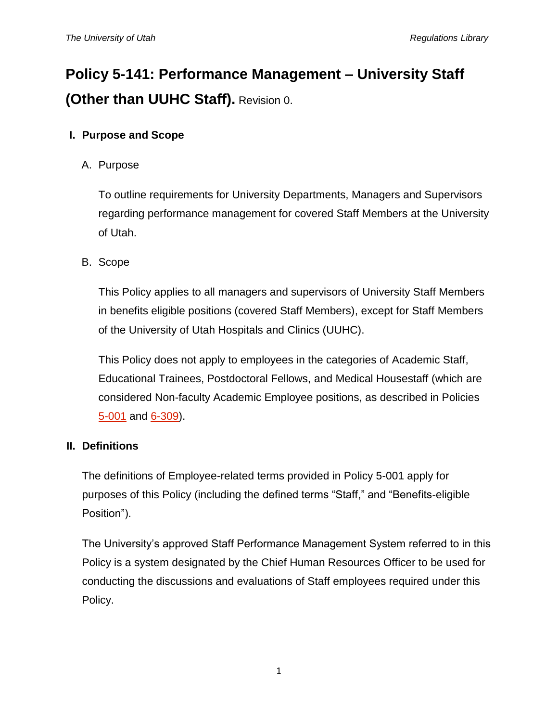# **Policy 5-141: Performance Management – University Staff (Other than UUHC Staff).** Revision 0.

## **I. Purpose and Scope**

A. Purpose

To outline requirements for University Departments, Managers and Supervisors regarding performance management for covered Staff Members at the University of Utah.

B. Scope

This Policy applies to all managers and supervisors of University Staff Members in benefits eligible positions (covered Staff Members), except for Staff Members of the University of Utah Hospitals and Clinics (UUHC).

This Policy does not apply to employees in the categories of Academic Staff, Educational Trainees, Postdoctoral Fellows, and Medical Housestaff (which are considered Non-faculty Academic Employee positions, as described in Policies [5-001](https://regulations.utah.edu/human-resources/5-001.php) and [6-309\)](https://regulations.utah.edu/academics/6-309.php).

## **II. Definitions**

The definitions of Employee-related terms provided in Policy 5-001 apply for purposes of this Policy (including the defined terms "Staff," and "Benefits-eligible Position").

The University's approved Staff Performance Management System referred to in this Policy is a system designated by the Chief Human Resources Officer to be used for conducting the discussions and evaluations of Staff employees required under this Policy.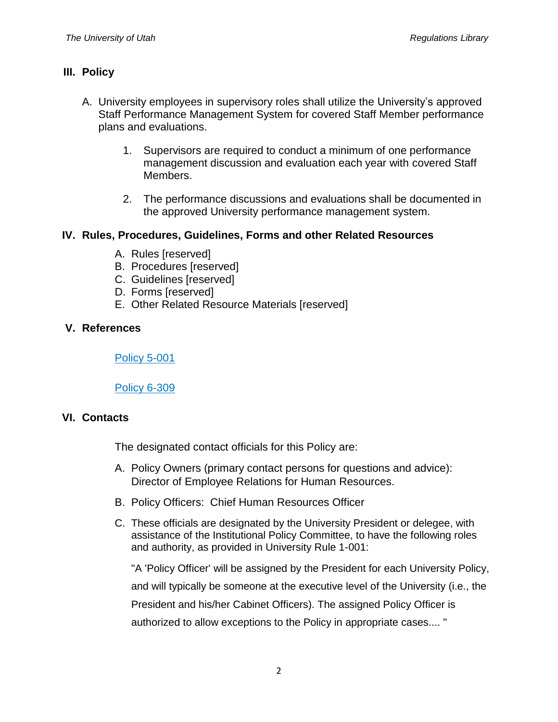### **III. Policy**

- A. University employees in supervisory roles shall utilize the University's approved Staff Performance Management System for covered Staff Member performance plans and evaluations.
	- 1. Supervisors are required to conduct a minimum of one performance management discussion and evaluation each year with covered Staff Members.
	- 2. The performance discussions and evaluations shall be documented in the approved University performance management system.

### **IV. Rules, Procedures, Guidelines, Forms and other Related Resources**

- A. Rules [reserved]
- B. Procedures [reserved]
- C. Guidelines [reserved]
- D. Forms [reserved]
- E. Other Related Resource Materials [reserved]

### **V. References**

[Policy 5-001](https://regulations.utah.edu/human-resources/5-001.php)

Policy [6-309](https://regulations.utah.edu/academics/6-309.php)

#### **VI. Contacts**

The designated contact officials for this Policy are:

- A. Policy Owners (primary contact persons for questions and advice): Director of Employee Relations for Human Resources.
- B. Policy Officers: Chief Human Resources Officer
- C. These officials are designated by the University President or delegee, with assistance of the Institutional Policy Committee, to have the following roles and authority, as provided in University Rule 1-001:

"A 'Policy Officer' will be assigned by the President for each University Policy, and will typically be someone at the executive level of the University (i.e., the President and his/her Cabinet Officers). The assigned Policy Officer is authorized to allow exceptions to the Policy in appropriate cases.... "